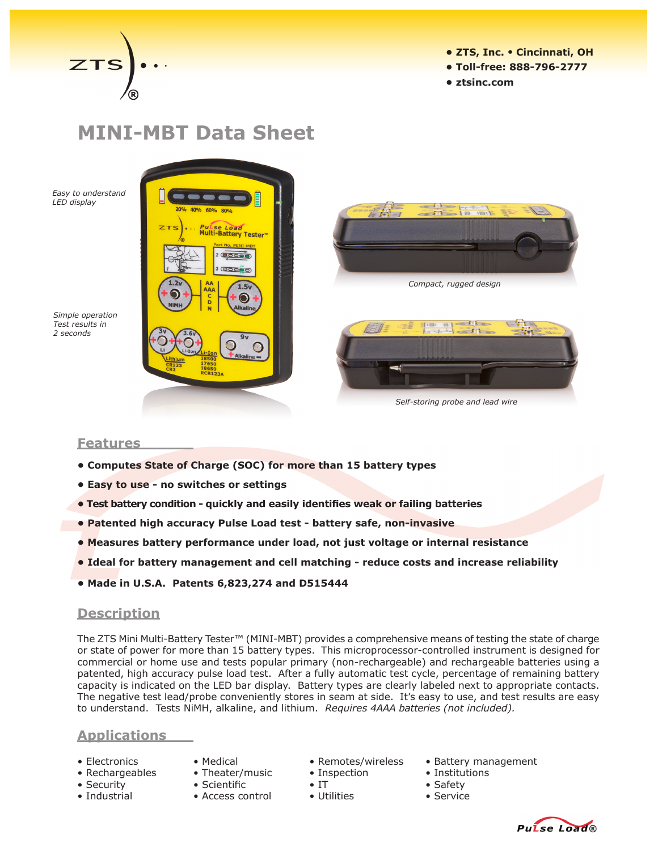

- **ZTS, Inc. Cincinnati, OH**
- **Toll-free: 888-796-2777**
- **ztsinc.com**

# **MINI-MBT Data Sheet**

*Easy to understand LED display*





*Self-storing probe and lead wire*

*Simple operation Test results in 2 seconds*

### **Features**

- **• Computes State of Charge (SOC) for more than 15 battery types**
- **• Easy to use - no switches or settings**
- **Test battery condition quickly and easily identifies weak or failing batteries**
- **• Patented high accuracy Pulse Load test - battery safe, non-invasive**
- **• Measures battery performance under load, not just voltage or internal resistance**
- **• Ideal for battery management and cell matching - reduce costs and increase reliability**
- **• Made in U.S.A. Patents 6,823,274 and D515444**

### **Description**

The ZTS Mini Multi-Battery Tester™ (MINI-MBT) provides a comprehensive means of testing the state of charge or state of power for more than 15 battery types. This microprocessor-controlled instrument is designed for commercial or home use and tests popular primary (non-rechargeable) and rechargeable batteries using a patented, high accuracy pulse load test. After a fully automatic test cycle, percentage of remaining battery capacity is indicated on the LED bar display. Battery types are clearly labeled next to appropriate contacts. The negative test lead/probe conveniently stores in seam at side. It's easy to use, and test results are easy to understand. Tests NiMH, alkaline, and lithium. *Requires 4AAA batteries (not included).*

## **Applications**

- 
- -
- 
- 
- 
- 
- Industrial Access control Utilities Service
- 
- Rechargeables Theater/music Inspection Institutions
	-
	-
- Electronics Medical Remotes/wireless Battery management
	-
	-
	-



• Security • Scientific • IT • Safety • Safety